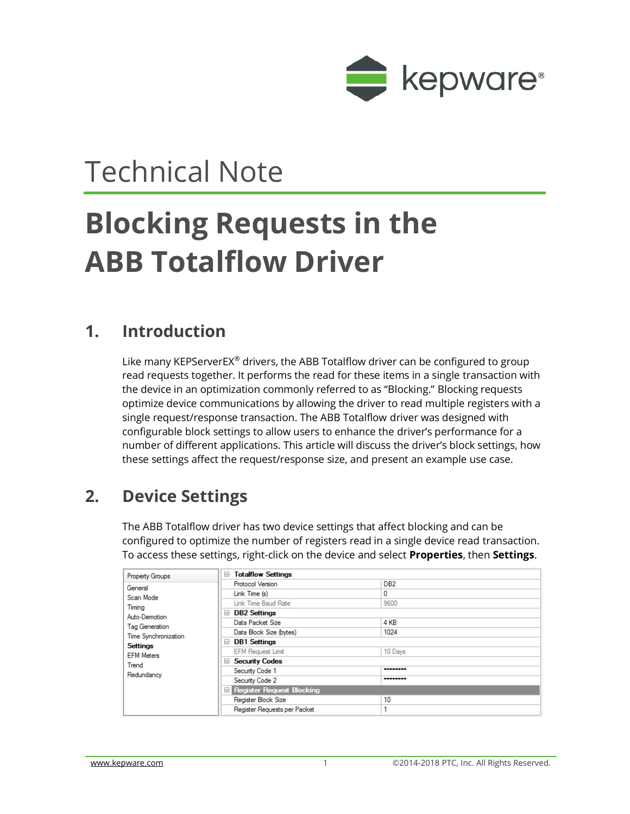

## Technical Note

# **Blocking Requests in the ABB Totalflow Driver**

### **1. Introduction**

Like many KEPServerEX® drivers, the ABB Totalflow driver can be configured to group read requests together. It performs the read for these items in a single transaction with the device in an optimization commonly referred to as "Blocking." Blocking requests optimize device communications by allowing the driver to read multiple registers with a single request/response transaction. The ABB Totalflow driver was designed with configurable block settings to allow users to enhance the driver's performance for a number of different applications. This article will discuss the driver's block settings, how these settings affect the request/response size, and present an example use case.

## **2. Device Settings**

The ABB Totalflow driver has two device settings that affect blocking and can be configured to optimize the number of registers read in a single device read transaction. To access these settings, right-click on the device and select **Properties**, then **Settings**.

| Property Groups                                                                                                            | <b>Totalflow Settings</b><br>8           |                 |  |  |
|----------------------------------------------------------------------------------------------------------------------------|------------------------------------------|-----------------|--|--|
| General<br>Scan Mode<br>Timing<br>Auto-Demotion<br>Tag Generation<br>Time Synchronization<br>Settings<br><b>EFM Meters</b> | Protocol Version                         | DB <sub>2</sub> |  |  |
|                                                                                                                            | Link Time (s)                            | 0               |  |  |
|                                                                                                                            | Link Time Baud Rate                      | 9600            |  |  |
|                                                                                                                            | $\Box$ DB2 Settings                      |                 |  |  |
|                                                                                                                            | Data Packet Size                         | 4 KB            |  |  |
|                                                                                                                            | Data Block Size (bytes)                  | 1024            |  |  |
|                                                                                                                            | $\Box$ DB1 Settings                      |                 |  |  |
|                                                                                                                            | <b>EFM Request Limit</b>                 | 10 Days         |  |  |
|                                                                                                                            | <b>□ Security Codes</b>                  |                 |  |  |
| Trend                                                                                                                      |                                          |                 |  |  |
| Redundancv                                                                                                                 | Security Code 1                          | ********        |  |  |
|                                                                                                                            | Security Code 2                          | ********        |  |  |
|                                                                                                                            | $\blacksquare$ Register Request Blocking |                 |  |  |
|                                                                                                                            | Register Block Size                      | 10              |  |  |
|                                                                                                                            | Register Reguests per Packet             |                 |  |  |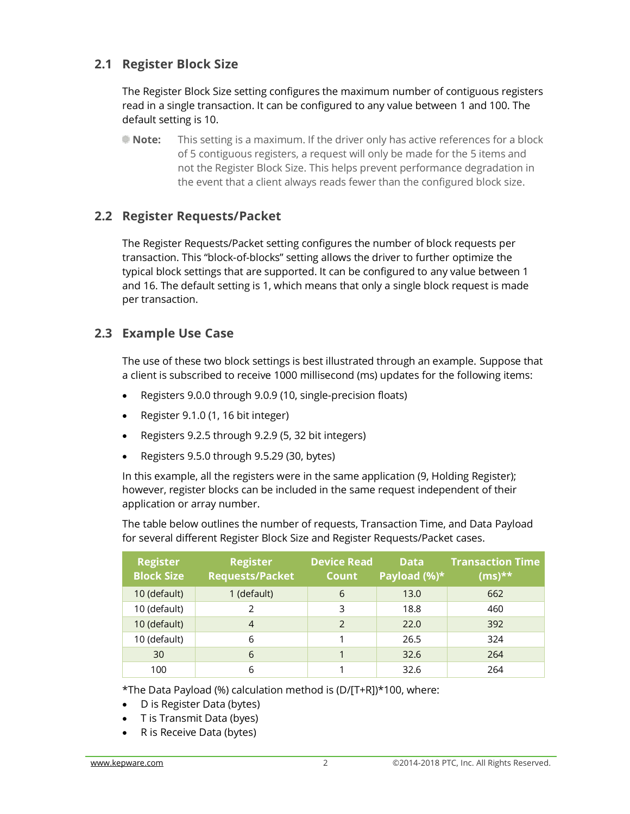#### **2.1 Register Block Size**

The Register Block Size setting configures the maximum number of contiguous registers read in a single transaction. It can be configured to any value between 1 and 100. The default setting is 10.

**Note:** This setting is a maximum. If the driver only has active references for a block of 5 contiguous registers, a request will only be made for the 5 items and not the Register Block Size. This helps prevent performance degradation in the event that a client always reads fewer than the configured block size.

#### **2.2 Register Requests/Packet**

The Register Requests/Packet setting configures the number of block requests per transaction. This "block-of-blocks" setting allows the driver to further optimize the typical block settings that are supported. It can be configured to any value between 1 and 16. The default setting is 1, which means that only a single block request is made per transaction.

#### **2.3 Example Use Case**

The use of these two block settings is best illustrated through an example. Suppose that a client is subscribed to receive 1000 millisecond (ms) updates for the following items:

- Registers 9.0.0 through 9.0.9 (10, single-precision floats)
- Register 9.1.0 (1, 16 bit integer)
- Registers 9.2.5 through 9.2.9 (5, 32 bit integers)
- Registers 9.5.0 through 9.5.29 (30, bytes)

In this example, all the registers were in the same application (9, Holding Register); however, register blocks can be included in the same request independent of their application or array number.

The table below outlines the number of requests, Transaction Time, and Data Payload for several different Register Block Size and Register Requests/Packet cases.

| <b>Register</b><br><b>Block Size</b> | <b>Register</b><br><b>Requests/Packet</b> | <b>Device Read</b><br><b>Count</b> | <b>Data</b><br>Payload $(\%)^{\star}$ | <b>Transaction Time</b><br>$(ms)$ ** |
|--------------------------------------|-------------------------------------------|------------------------------------|---------------------------------------|--------------------------------------|
| 10 (default)                         | 1 (default)                               | 6                                  | 13.0                                  | 662                                  |
| 10 (default)                         |                                           | 3                                  | 18.8                                  | 460                                  |
| 10 (default)                         | $\overline{4}$                            | $\mathcal{P}$                      | 22.0                                  | 392                                  |
| 10 (default)                         | 6                                         |                                    | 26.5                                  | 324                                  |
| 30                                   | 6                                         |                                    | 32.6                                  | 264                                  |
| 100                                  | 6                                         |                                    | 32.6                                  | 264                                  |

\*The Data Payload (%) calculation method is (D/[T+R])\*100, where:

- D is Register Data (bytes)
- T is Transmit Data (byes)
- R is Receive Data (bytes)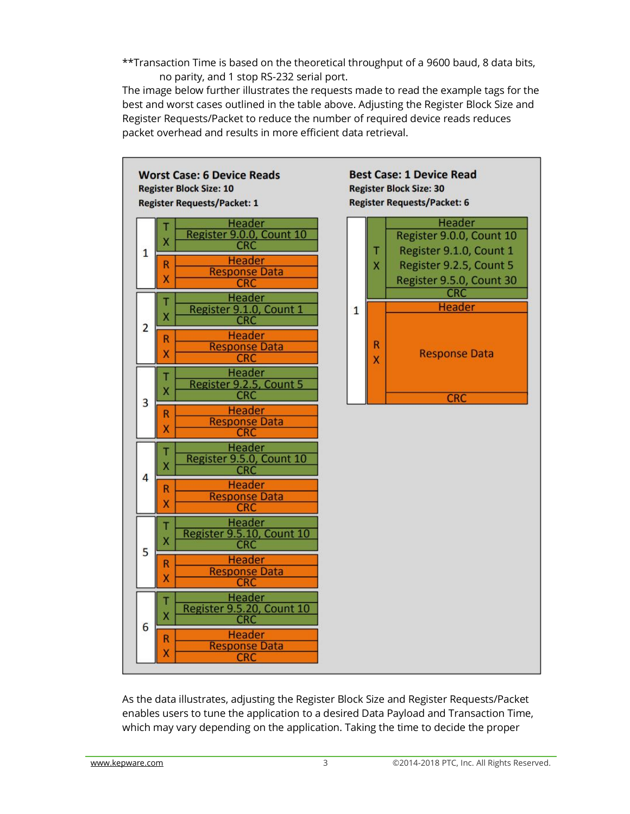\*\*Transaction Time is based on the theoretical throughput of a 9600 baud, 8 data bits, no parity, and 1 stop RS-232 serial port.

The image below further illustrates the requests made to read the example tags for the best and worst cases outlined in the table above. Adjusting the Register Block Size and Register Requests/Packet to reduce the number of required device reads reduces packet overhead and results in more efficient data retrieval.



As the data illustrates, adjusting the Register Block Size and Register Requests/Packet enables users to tune the application to a desired Data Payload and Transaction Time, which may vary depending on the application. Taking the time to decide the proper